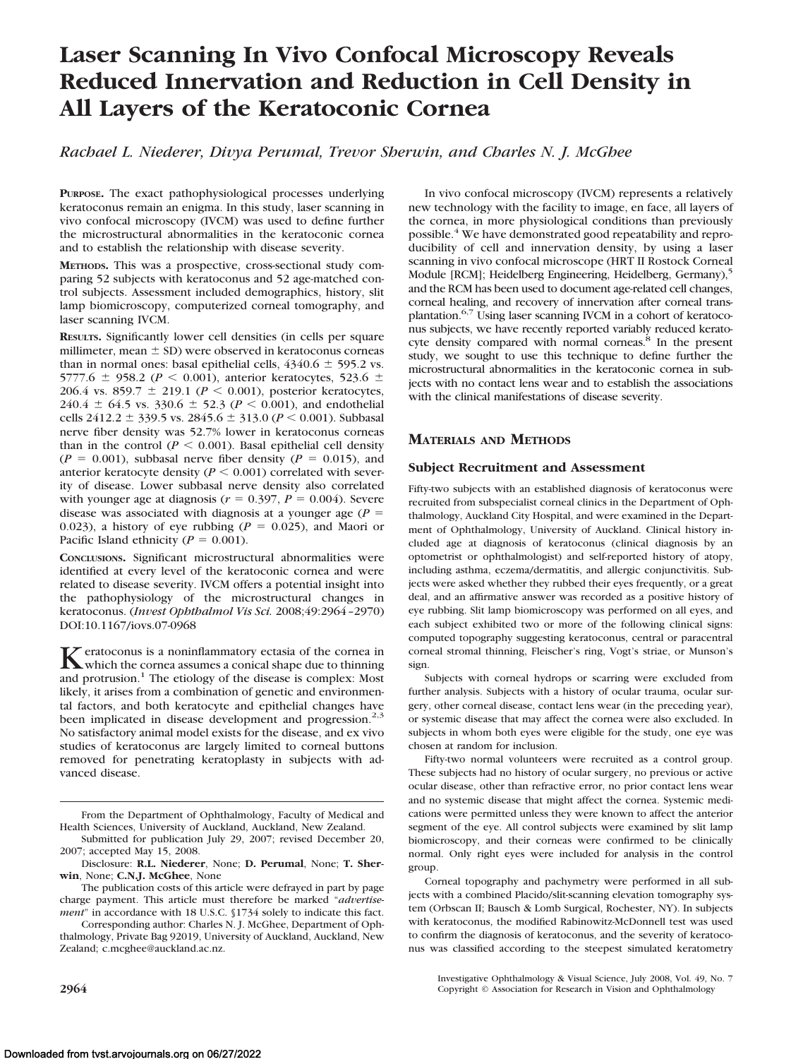# **Laser Scanning In Vivo Confocal Microscopy Reveals Reduced Innervation and Reduction in Cell Density in All Layers of the Keratoconic Cornea**

*Rachael L. Niederer, Divya Perumal, Trevor Sherwin, and Charles N. J. McGhee*

**PURPOSE.** The exact pathophysiological processes underlying keratoconus remain an enigma. In this study, laser scanning in vivo confocal microscopy (IVCM) was used to define further the microstructural abnormalities in the keratoconic cornea and to establish the relationship with disease severity.

**METHODS.** This was a prospective, cross-sectional study comparing 52 subjects with keratoconus and 52 age-matched control subjects. Assessment included demographics, history, slit lamp biomicroscopy, computerized corneal tomography, and laser scanning IVCM.

**RESULTS.** Significantly lower cell densities (in cells per square millimeter, mean  $\pm$  SD) were observed in keratoconus corneas than in normal ones: basal epithelial cells,  $4340.6 \pm 595.2$  vs. 5777.6  $\pm$  958.2 (*P* < 0.001), anterior keratocytes, 523.6  $\pm$ 206.4 vs. 859.7  $\pm$  219.1 ( $P < 0.001$ ), posterior keratocytes,  $240.4 \pm 64.5$  vs. 330.6  $\pm$  52.3 ( $P < 0.001$ ), and endothelial cells  $2412.2 \pm 339.5$  vs.  $2845.6 \pm 313.0$  ( $P < 0.001$ ). Subbasal nerve fiber density was 52.7% lower in keratoconus corneas than in the control  $(P < 0.001)$ . Basal epithelial cell density  $(P = 0.001)$ , subbasal nerve fiber density  $(P = 0.015)$ , and anterior keratocyte density ( $P \leq 0.001$ ) correlated with severity of disease. Lower subbasal nerve density also correlated with younger age at diagnosis ( $r = 0.397$ ,  $P = 0.004$ ). Severe disease was associated with diagnosis at a younger age  $(P =$ 0.023), a history of eye rubbing  $(P = 0.025)$ , and Maori or Pacific Island ethnicity ( $P = 0.001$ ).

**CONCLUSIONS.** Significant microstructural abnormalities were identified at every level of the keratoconic cornea and were related to disease severity. IVCM offers a potential insight into the pathophysiology of the microstructural changes in keratoconus. (*Invest Ophthalmol Vis Sci.* 2008;49:2964 –2970) DOI:10.1167/iovs.07-0968

Keratoconus is a noninflammatory ectasia of the cornea in<br>which the cornea assumes a conical shape due to thinning and protrusion.<sup>1</sup> The etiology of the disease is complex: Most likely, it arises from a combination of genetic and environmental factors, and both keratocyte and epithelial changes have been implicated in disease development and progression.<sup>2,3</sup> No satisfactory animal model exists for the disease, and ex vivo studies of keratoconus are largely limited to corneal buttons removed for penetrating keratoplasty in subjects with advanced disease.

In vivo confocal microscopy (IVCM) represents a relatively new technology with the facility to image, en face, all layers of the cornea, in more physiological conditions than previously possible.<sup>4</sup> We have demonstrated good repeatability and reproducibility of cell and innervation density, by using a laser scanning in vivo confocal microscope (HRT II Rostock Corneal Module [RCM]; Heidelberg Engineering, Heidelberg, Germany),<sup>5</sup> and the RCM has been used to document age-related cell changes, corneal healing, and recovery of innervation after corneal transplantation.6,7 Using laser scanning IVCM in a cohort of keratoconus subjects, we have recently reported variably reduced keratocyte density compared with normal corneas.<sup>8</sup> In the present study, we sought to use this technique to define further the microstructural abnormalities in the keratoconic cornea in subjects with no contact lens wear and to establish the associations with the clinical manifestations of disease severity.

# **MATERIALS AND METHODS**

## **Subject Recruitment and Assessment**

Fifty-two subjects with an established diagnosis of keratoconus were recruited from subspecialist corneal clinics in the Department of Ophthalmology, Auckland City Hospital, and were examined in the Department of Ophthalmology, University of Auckland. Clinical history included age at diagnosis of keratoconus (clinical diagnosis by an optometrist or ophthalmologist) and self-reported history of atopy, including asthma, eczema/dermatitis, and allergic conjunctivitis. Subjects were asked whether they rubbed their eyes frequently, or a great deal, and an affirmative answer was recorded as a positive history of eye rubbing. Slit lamp biomicroscopy was performed on all eyes, and each subject exhibited two or more of the following clinical signs: computed topography suggesting keratoconus, central or paracentral corneal stromal thinning, Fleischer's ring, Vogt's striae, or Munson's sign.

Subjects with corneal hydrops or scarring were excluded from further analysis. Subjects with a history of ocular trauma, ocular surgery, other corneal disease, contact lens wear (in the preceding year), or systemic disease that may affect the cornea were also excluded. In subjects in whom both eyes were eligible for the study, one eye was chosen at random for inclusion.

Fifty-two normal volunteers were recruited as a control group. These subjects had no history of ocular surgery, no previous or active ocular disease, other than refractive error, no prior contact lens wear and no systemic disease that might affect the cornea. Systemic medications were permitted unless they were known to affect the anterior segment of the eye. All control subjects were examined by slit lamp biomicroscopy, and their corneas were confirmed to be clinically normal. Only right eyes were included for analysis in the control group.

Corneal topography and pachymetry were performed in all subjects with a combined Placido/slit-scanning elevation tomography system (Orbscan II; Bausch & Lomb Surgical, Rochester, NY). In subjects with keratoconus, the modified Rabinowitz-McDonnell test was used to confirm the diagnosis of keratoconus, and the severity of keratoconus was classified according to the steepest simulated keratometry

Investigative Ophthalmology & Visual Science, July 2008, Vol. 49, No. 7 **2964** Copyright © Association for Research in Vision and Ophthalmology

From the Department of Ophthalmology, Faculty of Medical and Health Sciences, University of Auckland, Auckland, New Zealand.

Submitted for publication July 29, 2007; revised December 20, 2007; accepted May 15, 2008.

Disclosure: **R.L. Niederer**, None; **D. Perumal**, None; **T. Sherwin**, None; **C.N.J. McGhee**, None

The publication costs of this article were defrayed in part by page charge payment. This article must therefore be marked "*advertisement*" in accordance with 18 U.S.C. §1734 solely to indicate this fact.

Corresponding author: Charles N. J. McGhee, Department of Ophthalmology, Private Bag 92019, University of Auckland, Auckland, New Zealand; c.mcghee@auckland.ac.nz.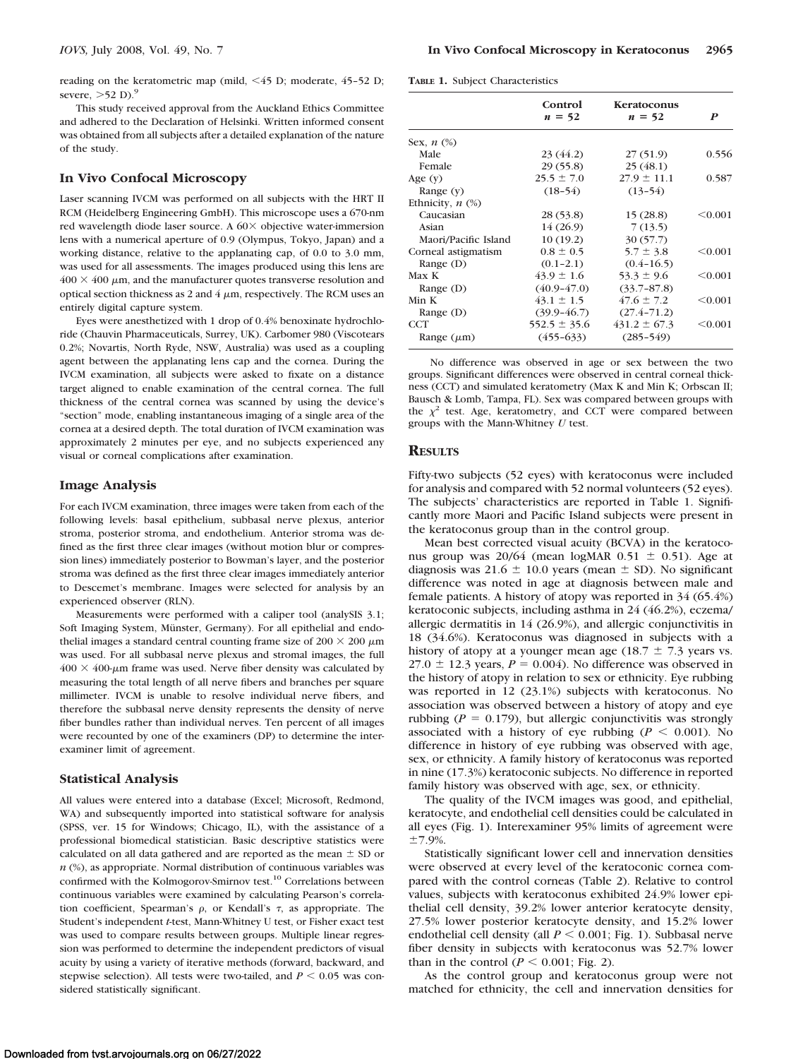reading on the keratometric map (mild, <45 D; moderate, 45-52 D; severe,  $>52$  D).<sup>9</sup>

This study received approval from the Auckland Ethics Committee and adhered to the Declaration of Helsinki. Written informed consent was obtained from all subjects after a detailed explanation of the nature of the study.

#### **In Vivo Confocal Microscopy**

Laser scanning IVCM was performed on all subjects with the HRT II RCM (Heidelberg Engineering GmbH). This microscope uses a 670-nm red wavelength diode laser source. A  $60 \times$  objective water-immersion lens with a numerical aperture of 0.9 (Olympus, Tokyo, Japan) and a working distance, relative to the applanating cap, of 0.0 to 3.0 mm, was used for all assessments. The images produced using this lens are  $400 \times 400 \mu$ m, and the manufacturer quotes transverse resolution and optical section thickness as 2 and 4  $\mu$ m, respectively. The RCM uses an entirely digital capture system.

Eyes were anesthetized with 1 drop of 0.4% benoxinate hydrochloride (Chauvin Pharmaceuticals, Surrey, UK). Carbomer 980 (Viscotears 0.2%; Novartis, North Ryde, NSW, Australia) was used as a coupling agent between the applanating lens cap and the cornea. During the IVCM examination, all subjects were asked to fixate on a distance target aligned to enable examination of the central cornea. The full thickness of the central cornea was scanned by using the device's "section" mode, enabling instantaneous imaging of a single area of the cornea at a desired depth. The total duration of IVCM examination was approximately 2 minutes per eye, and no subjects experienced any visual or corneal complications after examination.

#### **Image Analysis**

For each IVCM examination, three images were taken from each of the following levels: basal epithelium, subbasal nerve plexus, anterior stroma, posterior stroma, and endothelium. Anterior stroma was defined as the first three clear images (without motion blur or compression lines) immediately posterior to Bowman's layer, and the posterior stroma was defined as the first three clear images immediately anterior to Descemet's membrane. Images were selected for analysis by an experienced observer (RLN).

Measurements were performed with a caliper tool (analySIS 3.1; Soft Imaging System, Münster, Germany). For all epithelial and endothelial images a standard central counting frame size of  $200 \times 200 \mu m$ was used. For all subbasal nerve plexus and stromal images, the full  $400 \times 400$ -µm frame was used. Nerve fiber density was calculated by measuring the total length of all nerve fibers and branches per square millimeter. IVCM is unable to resolve individual nerve fibers, and therefore the subbasal nerve density represents the density of nerve fiber bundles rather than individual nerves. Ten percent of all images were recounted by one of the examiners (DP) to determine the interexaminer limit of agreement.

## **Statistical Analysis**

All values were entered into a database (Excel; Microsoft, Redmond, WA) and subsequently imported into statistical software for analysis (SPSS, ver. 15 for Windows; Chicago, IL), with the assistance of a professional biomedical statistician. Basic descriptive statistics were calculated on all data gathered and are reported as the mean  $\pm$  SD or *n* (%), as appropriate. Normal distribution of continuous variables was confirmed with the Kolmogorov-Smirnov test.10 Correlations between continuous variables were examined by calculating Pearson's correlation coefficient, Spearman's  $\rho$ , or Kendall's  $\tau$ , as appropriate. The Student's independent *t*-test, Mann-Whitney U test, or Fisher exact test was used to compare results between groups. Multiple linear regression was performed to determine the independent predictors of visual acuity by using a variety of iterative methods (forward, backward, and stepwise selection). All tests were two-tailed, and  $P \leq 0.05$  was considered statistically significant.

|                      | Control<br>$n = 52$ |                  | $\boldsymbol{P}$ |  |
|----------------------|---------------------|------------------|------------------|--|
| Sex, $n$ $(\%)$      |                     |                  |                  |  |
| Male                 | 23 (44.2)           | 27(51.9)         | 0.556            |  |
| Female               | 29(55.8)            | 25(48.1)         |                  |  |
| Age $(v)$            | $25.5 \pm 7.0$      | $27.9 \pm 11.1$  | 0.587            |  |
| Range $(y)$          | $(18-54)$           | $(13-54)$        |                  |  |
| Ethnicity, $n$ (%)   |                     |                  |                  |  |
| Caucasian            | 28 (53.8)           | 15(28.8)         | < 0.001          |  |
| Asian                | 14 (26.9)           | 7(13.5)          |                  |  |
| Maori/Pacific Island | 10(19.2)            | 30(57.7)         |                  |  |
| Corneal astigmatism  | $0.8 \pm 0.5$       | $5.7 \pm 3.8$    | < 0.001          |  |
| Range (D)            | $(0.1 - 2.1)$       | $(0.4 - 16.5)$   |                  |  |
| Max K                | $43.9 \pm 1.6$      | $53.3 \pm 9.6$   | < 0.001          |  |
| Range $(D)$          | $(40.9 - 47.0)$     | $(33.7 - 87.8)$  |                  |  |
| Min K                | $43.1 \pm 1.5$      | $47.6 \pm 7.2$   | < 0.001          |  |
| Range $(D)$          | $(39.9-46.7)$       | $(27.4 - 71.2)$  |                  |  |
| CCT                  | $552.5 \pm 35.6$    | $431.2 \pm 67.3$ | < 0.001          |  |
| Range $(\mu m)$      | $(455-633)$         | $(285 - 549)$    |                  |  |

No difference was observed in age or sex between the two groups. Significant differences were observed in central corneal thickness (CCT) and simulated keratometry (Max K and Min K; Orbscan II; Bausch & Lomb, Tampa, FL). Sex was compared between groups with the  $\chi^2$  test. Age, keratometry, and CCT were compared between groups with the Mann-Whitney *U* test.

#### **RESULTS**

Fifty-two subjects (52 eyes) with keratoconus were included for analysis and compared with 52 normal volunteers (52 eyes). The subjects' characteristics are reported in Table 1. Significantly more Maori and Pacific Island subjects were present in the keratoconus group than in the control group.

Mean best corrected visual acuity (BCVA) in the keratoconus group was  $20/64$  (mean logMAR  $0.51 \pm 0.51$ ). Age at diagnosis was  $21.6 \pm 10.0$  years (mean  $\pm$  SD). No significant difference was noted in age at diagnosis between male and female patients. A history of atopy was reported in 34 (65.4%) keratoconic subjects, including asthma in 24 (46.2%), eczema/ allergic dermatitis in 14 (26.9%), and allergic conjunctivitis in 18 (34.6%). Keratoconus was diagnosed in subjects with a history of atopy at a younger mean age (18.7  $\pm$  7.3 years vs.  $27.0 \pm 12.3$  years,  $P = 0.004$ ). No difference was observed in the history of atopy in relation to sex or ethnicity. Eye rubbing was reported in 12 (23.1%) subjects with keratoconus. No association was observed between a history of atopy and eye rubbing  $(P = 0.179)$ , but allergic conjunctivitis was strongly associated with a history of eye rubbing  $(P < 0.001)$ . No difference in history of eye rubbing was observed with age, sex, or ethnicity. A family history of keratoconus was reported in nine (17.3%) keratoconic subjects. No difference in reported family history was observed with age, sex, or ethnicity.

The quality of the IVCM images was good, and epithelial, keratocyte, and endothelial cell densities could be calculated in all eyes (Fig. 1). Interexaminer 95% limits of agreement were  $±7.9%$ .

Statistically significant lower cell and innervation densities were observed at every level of the keratoconic cornea compared with the control corneas (Table 2). Relative to control values, subjects with keratoconus exhibited 24.9% lower epithelial cell density, 39.2% lower anterior keratocyte density, 27.5% lower posterior keratocyte density, and 15.2% lower endothelial cell density (all  $P \le 0.001$ ; Fig. 1). Subbasal nerve fiber density in subjects with keratoconus was 52.7% lower than in the control ( $P < 0.001$ ; Fig. 2).

As the control group and keratoconus group were not matched for ethnicity, the cell and innervation densities for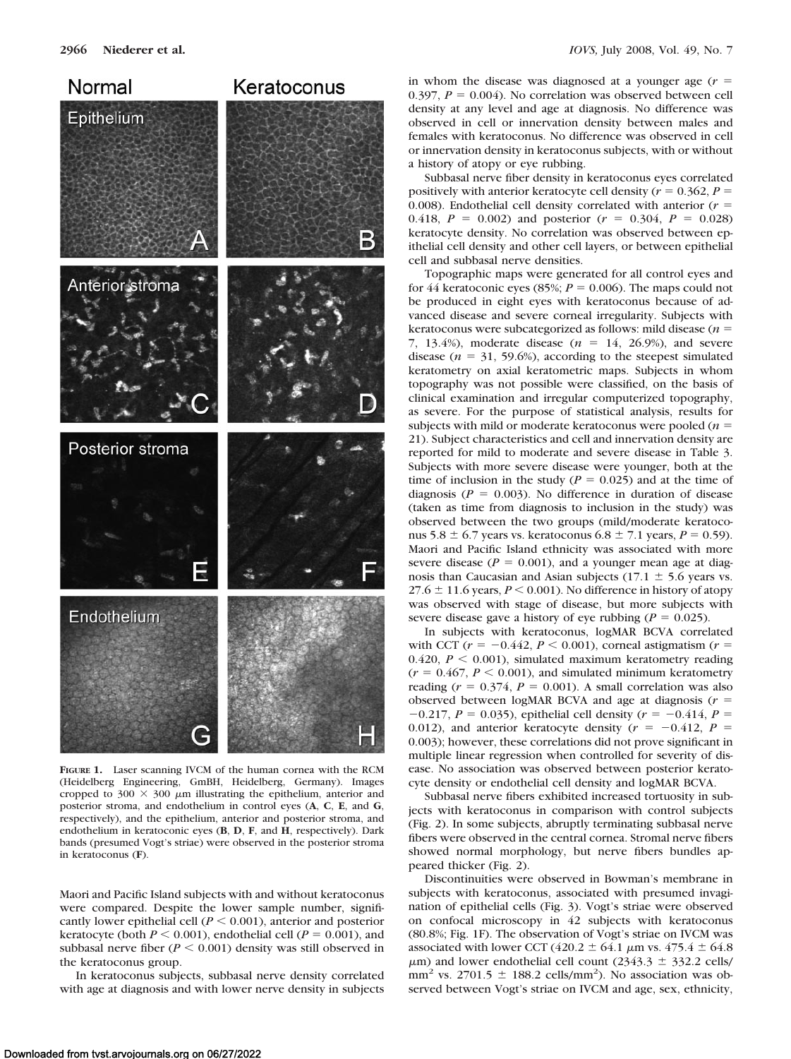

**FIGURE 1.** Laser scanning IVCM of the human cornea with the RCM (Heidelberg Engineering, GmBH, Heidelberg, Germany). Images cropped to  $300 \times 300$   $\mu$ m illustrating the epithelium, anterior and posterior stroma, and endothelium in control eyes (**A**, **C**, **E**, and **G**, respectively), and the epithelium, anterior and posterior stroma, and endothelium in keratoconic eyes (**B**, **D**, **F**, and **H**, respectively). Dark bands (presumed Vogt's striae) were observed in the posterior stroma in keratoconus (**F**).

Maori and Pacific Island subjects with and without keratoconus were compared. Despite the lower sample number, significantly lower epithelial cell ( $P \le 0.001$ ), anterior and posterior keratocyte (both  $P \le 0.001$ ), endothelial cell ( $P = 0.001$ ), and subbasal nerve fiber  $(P < 0.001)$  density was still observed in the keratoconus group.

In keratoconus subjects, subbasal nerve density correlated with age at diagnosis and with lower nerve density in subjects

in whom the disease was diagnosed at a younger age  $(r =$ 0.397,  $P = 0.004$ ). No correlation was observed between cell density at any level and age at diagnosis. No difference was observed in cell or innervation density between males and females with keratoconus. No difference was observed in cell or innervation density in keratoconus subjects, with or without a history of atopy or eye rubbing.

Subbasal nerve fiber density in keratoconus eyes correlated positively with anterior keratocyte cell density ( $r = 0.362$ ,  $P =$ 0.008). Endothelial cell density correlated with anterior (*r* 0.418,  $P = 0.002$ ) and posterior  $(r = 0.304, P = 0.028)$ keratocyte density. No correlation was observed between epithelial cell density and other cell layers, or between epithelial cell and subbasal nerve densities.

Topographic maps were generated for all control eyes and for 44 keratoconic eyes (85%;  $P = 0.006$ ). The maps could not be produced in eight eyes with keratoconus because of advanced disease and severe corneal irregularity. Subjects with keratoconus were subcategorized as follows: mild disease (*n* 7, 13.4%), moderate disease  $(n = 14, 26.9%)$ , and severe disease  $(n = 31, 59.6\%)$ , according to the steepest simulated keratometry on axial keratometric maps. Subjects in whom topography was not possible were classified, on the basis of clinical examination and irregular computerized topography, as severe. For the purpose of statistical analysis, results for subjects with mild or moderate keratoconus were pooled (*n* 21). Subject characteristics and cell and innervation density are reported for mild to moderate and severe disease in Table 3. Subjects with more severe disease were younger, both at the time of inclusion in the study ( $P = 0.025$ ) and at the time of diagnosis ( $P = 0.003$ ). No difference in duration of disease (taken as time from diagnosis to inclusion in the study) was observed between the two groups (mild/moderate keratoconus 5.8  $\pm$  6.7 years vs. keratoconus 6.8  $\pm$  7.1 years, *P* = 0.59). Maori and Pacific Island ethnicity was associated with more severe disease ( $P = 0.001$ ), and a younger mean age at diagnosis than Caucasian and Asian subjects (17.1  $\pm$  5.6 years vs.  $27.6 \pm 11.6$  years,  $P \le 0.001$ ). No difference in history of atopy was observed with stage of disease, but more subjects with severe disease gave a history of eye rubbing ( $P = 0.025$ ).

In subjects with keratoconus, logMAR BCVA correlated with CCT  $(r = -0.442, P \le 0.001)$ , corneal astigmatism  $(r =$  $0.420, P \leq 0.001$ ), simulated maximum keratometry reading  $(r = 0.467, P \le 0.001)$ , and simulated minimum keratometry reading  $(r = 0.374, P = 0.001)$ . A small correlation was also observed between logMAR BCVA and age at diagnosis (*r*  $-0.217$ ,  $P = 0.035$ ), epithelial cell density ( $r = -0.414$ ,  $P =$ 0.012), and anterior keratocyte density  $(r = -0.412, P =$ 0.003); however, these correlations did not prove significant in multiple linear regression when controlled for severity of disease. No association was observed between posterior keratocyte density or endothelial cell density and logMAR BCVA.

Subbasal nerve fibers exhibited increased tortuosity in subjects with keratoconus in comparison with control subjects (Fig. 2). In some subjects, abruptly terminating subbasal nerve fibers were observed in the central cornea. Stromal nerve fibers showed normal morphology, but nerve fibers bundles appeared thicker (Fig. 2).

Discontinuities were observed in Bowman's membrane in subjects with keratoconus, associated with presumed invagination of epithelial cells (Fig. 3). Vogt's striae were observed on confocal microscopy in 42 subjects with keratoconus (80.8%; Fig. 1F). The observation of Vogt's striae on IVCM was associated with lower CCT (420.2  $\pm$  64.1  $\mu$ m vs. 475.4  $\pm$  64.8  $\mu$ m) and lower endothelial cell count (2343.3  $\pm$  332.2 cells/  $mm<sup>2</sup>$  vs. 2701.5  $\pm$  188.2 cells/mm<sup>2</sup>). No association was observed between Vogt's striae on IVCM and age, sex, ethnicity,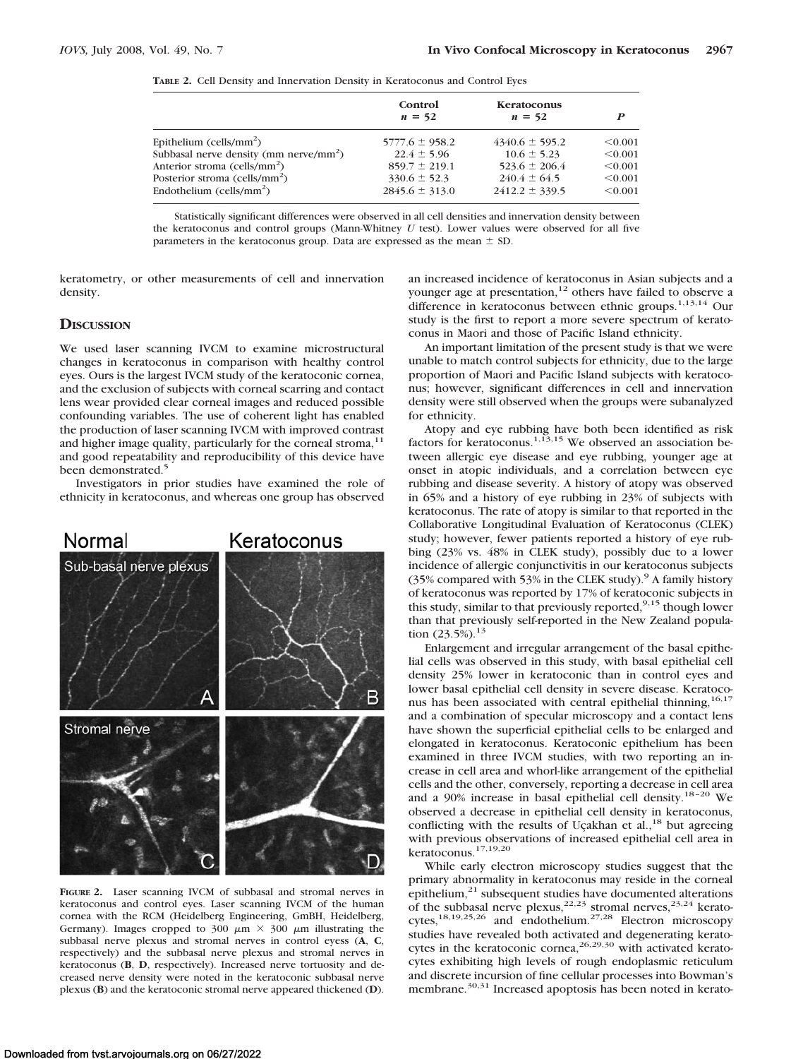|                                                    | Control<br>$n = 52$ | Keratoconus<br>$n = 52$ |         |
|----------------------------------------------------|---------------------|-------------------------|---------|
| Epithelium (cells/mm <sup>2</sup> )                | $5777.6 \pm 958.2$  | $4340.6 \pm 595.2$      | < 0.001 |
| Subbasal nerve density (mm nerve/mm <sup>2</sup> ) | $22.4 \pm 5.96$     | $10.6 \pm 5.23$         | < 0.001 |
| Anterior stroma (cells/mm <sup>2</sup> )           | $859.7 \pm 219.1$   | $523.6 \pm 206.4$       | < 0.001 |
| Posterior stroma (cells/mm <sup>2</sup> )          | $330.6 \pm 52.3$    | $240.4 \pm 64.5$        | < 0.001 |
| Endothelium (cells/mm <sup>2</sup> )               | $2845.6 \pm 313.0$  | $2412.2 \pm 339.5$      | < 0.001 |

| <b>TABLE 2.</b> Cell Density and Innervation Density in Keratoconus and Control Eves |  |  |  |
|--------------------------------------------------------------------------------------|--|--|--|
|--------------------------------------------------------------------------------------|--|--|--|

Statistically significant differences were observed in all cell densities and innervation density between the keratoconus and control groups (Mann-Whitney *U* test). Lower values were observed for all five parameters in the keratoconus group. Data are expressed as the mean  $\pm$  SD.

keratometry, or other measurements of cell and innervation density.

# **DISCUSSION**

We used laser scanning IVCM to examine microstructural changes in keratoconus in comparison with healthy control eyes. Ours is the largest IVCM study of the keratoconic cornea, and the exclusion of subjects with corneal scarring and contact lens wear provided clear corneal images and reduced possible confounding variables. The use of coherent light has enabled the production of laser scanning IVCM with improved contrast and higher image quality, particularly for the corneal stroma,<sup>11</sup> and good repeatability and reproducibility of this device have been demonstrated.<sup>5</sup>

Investigators in prior studies have examined the role of ethnicity in keratoconus, and whereas one group has observed



**FIGURE 2.** Laser scanning IVCM of subbasal and stromal nerves in keratoconus and control eyes. Laser scanning IVCM of the human cornea with the RCM (Heidelberg Engineering, GmBH, Heidelberg, Germany). Images cropped to 300  $\mu$ m  $\times$  300  $\mu$ m illustrating the subbasal nerve plexus and stromal nerves in control eyess (**A**, **C**, respectively) and the subbasal nerve plexus and stromal nerves in keratoconus (**B**, **D**, respectively). Increased nerve tortuosity and decreased nerve density were noted in the keratoconic subbasal nerve plexus (**B**) and the keratoconic stromal nerve appeared thickened (**D**).

an increased incidence of keratoconus in Asian subjects and a younger age at presentation, $12$  others have failed to observe a difference in keratoconus between ethnic groups.<sup>1,13,14</sup> Our study is the first to report a more severe spectrum of keratoconus in Maori and those of Pacific Island ethnicity.

An important limitation of the present study is that we were unable to match control subjects for ethnicity, due to the large proportion of Maori and Pacific Island subjects with keratoconus; however, significant differences in cell and innervation density were still observed when the groups were subanalyzed for ethnicity.

Atopy and eye rubbing have both been identified as risk factors for keratoconus.<sup>1,13,15</sup> We observed an association between allergic eye disease and eye rubbing, younger age at onset in atopic individuals, and a correlation between eye rubbing and disease severity. A history of atopy was observed in 65% and a history of eye rubbing in 23% of subjects with keratoconus. The rate of atopy is similar to that reported in the Collaborative Longitudinal Evaluation of Keratoconus (CLEK) study; however, fewer patients reported a history of eye rubbing (23% vs. 48% in CLEK study), possibly due to a lower incidence of allergic conjunctivitis in our keratoconus subjects (35% compared with 53% in the CLEK study).<sup>9</sup> A family history of keratoconus was reported by 17% of keratoconic subjects in this study, similar to that previously reported,<sup>9,15</sup> though lower than that previously self-reported in the New Zealand population  $(23.5\%)$ <sup>13</sup>

Enlargement and irregular arrangement of the basal epithelial cells was observed in this study, with basal epithelial cell density 25% lower in keratoconic than in control eyes and lower basal epithelial cell density in severe disease. Keratoconus has been associated with central epithelial thinning,<sup>16,17</sup> and a combination of specular microscopy and a contact lens have shown the superficial epithelial cells to be enlarged and elongated in keratoconus. Keratoconic epithelium has been examined in three IVCM studies, with two reporting an increase in cell area and whorl-like arrangement of the epithelial cells and the other, conversely, reporting a decrease in cell area and a 90% increase in basal epithelial cell density.<sup>18-20</sup> We observed a decrease in epithelial cell density in keratoconus, conflicting with the results of Uçakhan et al., $^{18}$  but agreeing with previous observations of increased epithelial cell area in keratoconus.17,19,20

While early electron microscopy studies suggest that the primary abnormality in keratoconus may reside in the corneal epithelium, $21$  subsequent studies have documented alterations of the subbasal nerve plexus,<sup>22,23</sup> stromal nerves,<sup>23,24</sup> keratocytes,<sup>18,19,25,26</sup> and endothelium.<sup>27,28</sup> Electron microscopy studies have revealed both activated and degenerating keratocytes in the keratoconic cornea,  $26,29,30$  with activated keratocytes exhibiting high levels of rough endoplasmic reticulum and discrete incursion of fine cellular processes into Bowman's membrane.<sup>30,31</sup> Increased apoptosis has been noted in kerato-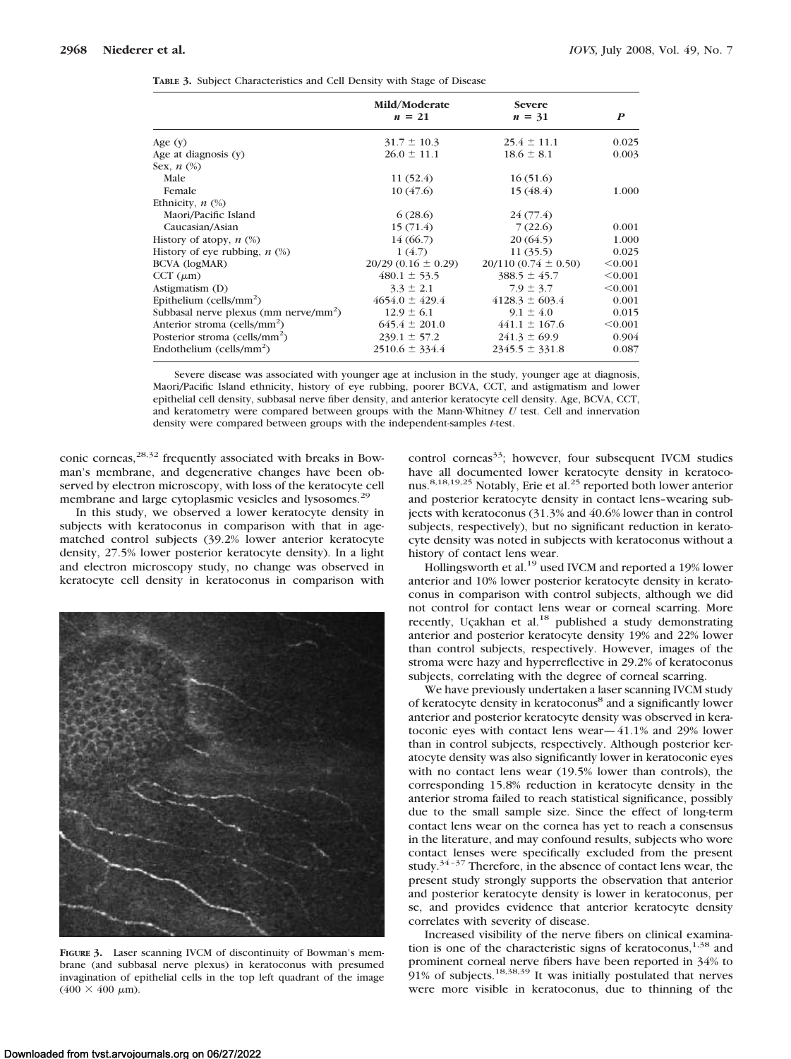|  |  | TABLE 3. Subject Characteristics and Cell Density with Stage of Disease |  |  |  |  |  |  |  |
|--|--|-------------------------------------------------------------------------|--|--|--|--|--|--|--|
|--|--|-------------------------------------------------------------------------|--|--|--|--|--|--|--|

| Mild/Moderate      | <b>Severe</b>           |                  |
|--------------------|-------------------------|------------------|
| $n = 21$           | $n = 31$                | $\boldsymbol{P}$ |
| $31.7 \pm 10.3$    | $25.4 \pm 11.1$         | 0.025            |
| $26.0 \pm 11.1$    | $18.6 \pm 8.1$          | 0.003            |
|                    |                         |                  |
| 11(52.4)           | 16(51.6)                |                  |
| 10(47.6)           | 15(48.4)                | 1.000            |
|                    |                         |                  |
| 6(28.6)            | 24(77.4)                |                  |
| 15(71.4)           | 7(22.6)                 | 0.001            |
| 14 (66.7)          | 20(64.5)                | 1.000            |
| 1(4.7)             | 11(35.5)                | 0.025            |
|                    | $20/110(0.74 \pm 0.50)$ | < 0.001          |
| $480.1 \pm 53.5$   | $388.5 \pm 45.7$        | < 0.001          |
| $3.3 \pm 2.1$      | $7.9 \pm 3.7$           | < 0.001          |
| $4654.0 \pm 429.4$ | $4128.3 \pm 603.4$      | 0.001            |
| $12.9 \pm 6.1$     | $9.1 \pm 4.0$           | 0.015            |
| $645.4 \pm 201.0$  | $441.1 \pm 167.6$       | < 0.001          |
| $239.1 \pm 57.2$   | $241.3 \pm 69.9$        | 0.904            |
| $2510.6 \pm 334.4$ | $2345.5 \pm 331.8$      | 0.087            |
|                    | $20/29(0.16 \pm 0.29)$  |                  |

Severe disease was associated with younger age at inclusion in the study, younger age at diagnosis, Maori/Pacific Island ethnicity, history of eye rubbing, poorer BCVA, CCT, and astigmatism and lower epithelial cell density, subbasal nerve fiber density, and anterior keratocyte cell density. Age, BCVA, CCT, and keratometry were compared between groups with the Mann-Whitney *U* test. Cell and innervation density were compared between groups with the independent-samples *t*-test.

conic corneas,<sup>28,32</sup> frequently associated with breaks in Bowman's membrane, and degenerative changes have been observed by electron microscopy, with loss of the keratocyte cell membrane and large cytoplasmic vesicles and lysosomes.<sup>29</sup>

In this study, we observed a lower keratocyte density in subjects with keratoconus in comparison with that in agematched control subjects (39.2% lower anterior keratocyte density, 27.5% lower posterior keratocyte density). In a light and electron microscopy study, no change was observed in keratocyte cell density in keratoconus in comparison with



**FIGURE 3.** Laser scanning IVCM of discontinuity of Bowman's membrane (and subbasal nerve plexus) in keratoconus with presumed invagination of epithelial cells in the top left quadrant of the image  $(400 \times 400 \mu m)$ .

control corneas<sup>33</sup>; however, four subsequent IVCM studies have all documented lower keratocyte density in keratoconus.8,18,19,25 Notably, Erie et al.25 reported both lower anterior and posterior keratocyte density in contact lens–wearing subjects with keratoconus (31.3% and 40.6% lower than in control subjects, respectively), but no significant reduction in keratocyte density was noted in subjects with keratoconus without a history of contact lens wear.

Hollingsworth et al.<sup>19</sup> used IVCM and reported a 19% lower anterior and 10% lower posterior keratocyte density in keratoconus in comparison with control subjects, although we did not control for contact lens wear or corneal scarring. More recently, Uçakhan et al.<sup>18</sup> published a study demonstrating anterior and posterior keratocyte density 19% and 22% lower than control subjects, respectively. However, images of the stroma were hazy and hyperreflective in 29.2% of keratoconus subjects, correlating with the degree of corneal scarring.

We have previously undertaken a laser scanning IVCM study of keratocyte density in keratoconus<sup>8</sup> and a significantly lower anterior and posterior keratocyte density was observed in keratoconic eyes with contact lens wear— 41.1% and 29% lower than in control subjects, respectively. Although posterior keratocyte density was also significantly lower in keratoconic eyes with no contact lens wear (19.5% lower than controls), the corresponding 15.8% reduction in keratocyte density in the anterior stroma failed to reach statistical significance, possibly due to the small sample size. Since the effect of long-term contact lens wear on the cornea has yet to reach a consensus in the literature, and may confound results, subjects who wore contact lenses were specifically excluded from the present study.34 –37 Therefore, in the absence of contact lens wear, the present study strongly supports the observation that anterior and posterior keratocyte density is lower in keratoconus, per se, and provides evidence that anterior keratocyte density correlates with severity of disease.

Increased visibility of the nerve fibers on clinical examination is one of the characteristic signs of keratoconus, $1,38$  and prominent corneal nerve fibers have been reported in 34% to  $91\%$  of subjects.<sup>18,38,39</sup> It was initially postulated that nerves were more visible in keratoconus, due to thinning of the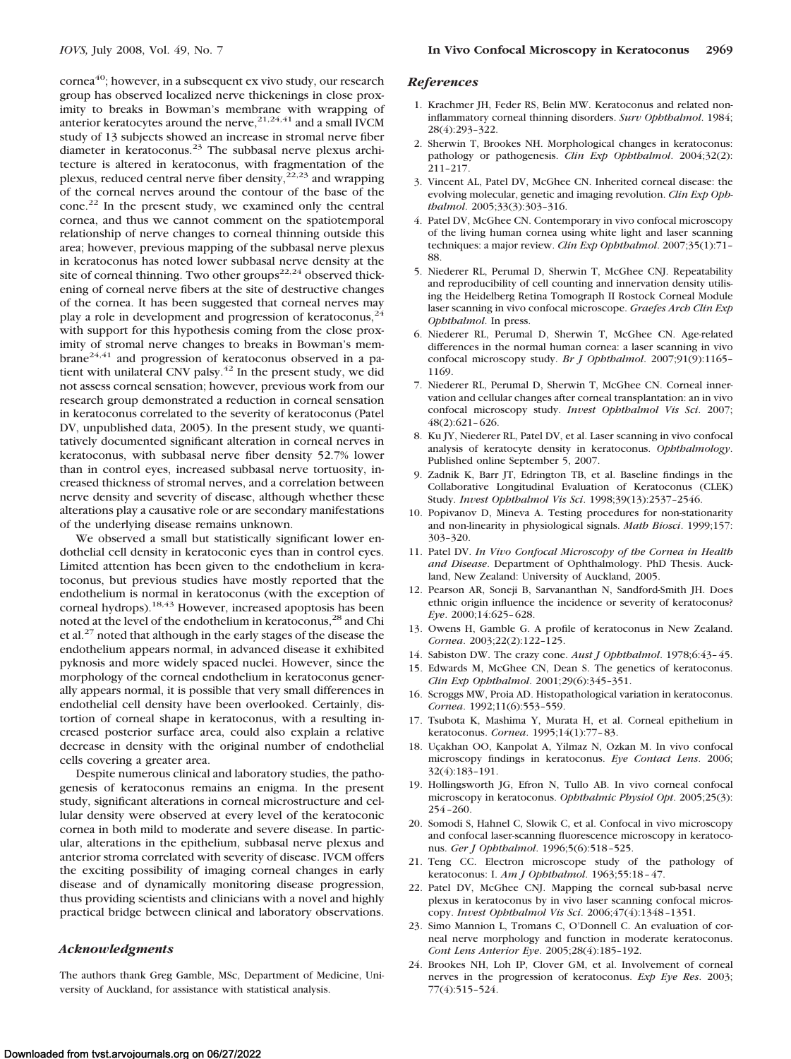$cornea<sup>40</sup>$ ; however, in a subsequent ex vivo study, our research group has observed localized nerve thickenings in close proximity to breaks in Bowman's membrane with wrapping of anterior keratocytes around the nerve,  $2^{1,24,41}$  and a small IVCM study of 13 subjects showed an increase in stromal nerve fiber diameter in keratoconus.<sup>23</sup> The subbasal nerve plexus architecture is altered in keratoconus, with fragmentation of the plexus, reduced central nerve fiber density, $^{22,23}$  and wrapping of the corneal nerves around the contour of the base of the cone.<sup>22</sup> In the present study, we examined only the central cornea, and thus we cannot comment on the spatiotemporal relationship of nerve changes to corneal thinning outside this area; however, previous mapping of the subbasal nerve plexus in keratoconus has noted lower subbasal nerve density at the site of corneal thinning. Two other groups<sup>22,24</sup> observed thickening of corneal nerve fibers at the site of destructive changes of the cornea. It has been suggested that corneal nerves may play a role in development and progression of keratoconus,  $24$ with support for this hypothesis coming from the close proximity of stromal nerve changes to breaks in Bowman's membrane24,41 and progression of keratoconus observed in a patient with unilateral CNV palsy.<sup>42</sup> In the present study, we did not assess corneal sensation; however, previous work from our research group demonstrated a reduction in corneal sensation in keratoconus correlated to the severity of keratoconus (Patel DV, unpublished data, 2005). In the present study, we quantitatively documented significant alteration in corneal nerves in keratoconus, with subbasal nerve fiber density 52.7% lower than in control eyes, increased subbasal nerve tortuosity, increased thickness of stromal nerves, and a correlation between nerve density and severity of disease, although whether these alterations play a causative role or are secondary manifestations of the underlying disease remains unknown.

We observed a small but statistically significant lower endothelial cell density in keratoconic eyes than in control eyes. Limited attention has been given to the endothelium in keratoconus, but previous studies have mostly reported that the endothelium is normal in keratoconus (with the exception of corneal hydrops).<sup>18,43</sup> However, increased apoptosis has been noted at the level of the endothelium in keratoconus,<sup>28</sup> and Chi et al.27 noted that although in the early stages of the disease the endothelium appears normal, in advanced disease it exhibited pyknosis and more widely spaced nuclei. However, since the morphology of the corneal endothelium in keratoconus generally appears normal, it is possible that very small differences in endothelial cell density have been overlooked. Certainly, distortion of corneal shape in keratoconus, with a resulting increased posterior surface area, could also explain a relative decrease in density with the original number of endothelial cells covering a greater area.

Despite numerous clinical and laboratory studies, the pathogenesis of keratoconus remains an enigma. In the present study, significant alterations in corneal microstructure and cellular density were observed at every level of the keratoconic cornea in both mild to moderate and severe disease. In particular, alterations in the epithelium, subbasal nerve plexus and anterior stroma correlated with severity of disease. IVCM offers the exciting possibility of imaging corneal changes in early disease and of dynamically monitoring disease progression, thus providing scientists and clinicians with a novel and highly practical bridge between clinical and laboratory observations.

## *Acknowledgments*

The authors thank Greg Gamble, MSc, Department of Medicine, University of Auckland, for assistance with statistical analysis.

### *References*

- 1. Krachmer JH, Feder RS, Belin MW. Keratoconus and related noninflammatory corneal thinning disorders. *Surv Ophthalmol*. 1984; 28(4):293–322.
- 2. Sherwin T, Brookes NH. Morphological changes in keratoconus: pathology or pathogenesis. *Clin Exp Ophthalmol*. 2004;32(2): 211–217.
- 3. Vincent AL, Patel DV, McGhee CN. Inherited corneal disease: the evolving molecular, genetic and imaging revolution. *Clin Exp Ophthalmol*. 2005;33(3):303–316.
- 4. Patel DV, McGhee CN. Contemporary in vivo confocal microscopy of the living human cornea using white light and laser scanning techniques: a major review. *Clin Exp Ophthalmol*. 2007;35(1):71– 88.
- 5. Niederer RL, Perumal D, Sherwin T, McGhee CNJ. Repeatability and reproducibility of cell counting and innervation density utilising the Heidelberg Retina Tomograph II Rostock Corneal Module laser scanning in vivo confocal microscope. *Graefes Arch Clin Exp Ophthalmol*. In press.
- 6. Niederer RL, Perumal D, Sherwin T, McGhee CN. Age-related differences in the normal human cornea: a laser scanning in vivo confocal microscopy study. *Br J Ophthalmol*. 2007;91(9):1165– 1169.
- 7. Niederer RL, Perumal D, Sherwin T, McGhee CN. Corneal innervation and cellular changes after corneal transplantation: an in vivo confocal microscopy study. *Invest Ophthalmol Vis Sci*. 2007; 48(2):621– 626.
- 8. Ku JY, Niederer RL, Patel DV, et al. Laser scanning in vivo confocal analysis of keratocyte density in keratoconus. *Ophthalmology*. Published online September 5, 2007.
- 9. Zadnik K, Barr JT, Edrington TB, et al. Baseline findings in the Collaborative Longitudinal Evaluation of Keratoconus (CLEK) Study. *Invest Ophthalmol Vis Sci*. 1998;39(13):2537–2546.
- 10. Popivanov D, Mineva A. Testing procedures for non-stationarity and non-linearity in physiological signals. *Math Biosci*. 1999;157: 303–320.
- 11. Patel DV. *In Vivo Confocal Microscopy of the Cornea in Health and Disease*. Department of Ophthalmology. PhD Thesis. Auckland, New Zealand: University of Auckland, 2005.
- 12. Pearson AR, Soneji B, Sarvananthan N, Sandford-Smith JH. Does ethnic origin influence the incidence or severity of keratoconus? *Eye*. 2000;14:625– 628.
- 13. Owens H, Gamble G. A profile of keratoconus in New Zealand. *Cornea*. 2003;22(2):122–125.
- 14. Sabiston DW. The crazy cone. *Aust J Ophthalmol*. 1978;6:43– 45.
- 15. Edwards M, McGhee CN, Dean S. The genetics of keratoconus. *Clin Exp Ophthalmol*. 2001;29(6):345–351.
- 16. Scroggs MW, Proia AD. Histopathological variation in keratoconus. *Cornea*. 1992;11(6):553–559.
- 17. Tsubota K, Mashima Y, Murata H, et al. Corneal epithelium in keratoconus. *Cornea*. 1995;14(1):77– 83.
- 18. Uçakhan OO, Kanpolat A, Yilmaz N, Ozkan M. In vivo confocal microscopy findings in keratoconus. *Eye Contact Lens*. 2006; 32(4):183–191.
- 19. Hollingsworth JG, Efron N, Tullo AB. In vivo corneal confocal microscopy in keratoconus. *Ophthalmic Physiol Opt*. 2005;25(3): 254 –260.
- 20. Somodi S, Hahnel C, Slowik C, et al. Confocal in vivo microscopy and confocal laser-scanning fluorescence microscopy in keratoconus. *Ger J Ophthalmol*. 1996;5(6):518 –525.
- 21. Teng CC. Electron microscope study of the pathology of keratoconus: I. *Am J Ophthalmol*. 1963;55:18 – 47.
- 22. Patel DV, McGhee CNJ. Mapping the corneal sub-basal nerve plexus in keratoconus by in vivo laser scanning confocal microscopy. *Invest Ophthalmol Vis Sci*. 2006;47(4):1348 –1351.
- 23. Simo Mannion L, Tromans C, O'Donnell C. An evaluation of corneal nerve morphology and function in moderate keratoconus. *Cont Lens Anterior Eye*. 2005;28(4):185–192.
- 24. Brookes NH, Loh IP, Clover GM, et al. Involvement of corneal nerves in the progression of keratoconus. *Exp Eye Res*. 2003; 77(4):515–524.